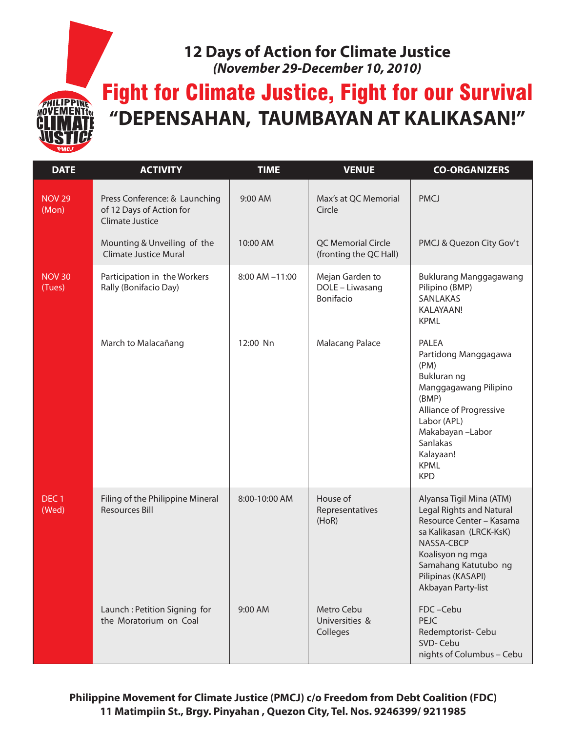## **12 Days of Action for Climate Justice** *(November 29-December 10, 2010)*

Fight for Climate Justice, Fight for our Survival **"DEPENSAHAN, TAUMBAYAN AT KALIKASAN!"**

HILIPPINE **MENTfor** 

| <b>DATE</b>               | <b>ACTIVITY</b>                                                                     | <b>TIME</b>    | <b>VENUE</b>                                    | <b>CO-ORGANIZERS</b>                                                                                                                                                                                                     |
|---------------------------|-------------------------------------------------------------------------------------|----------------|-------------------------------------------------|--------------------------------------------------------------------------------------------------------------------------------------------------------------------------------------------------------------------------|
| <b>NOV 29</b><br>(Mon)    | Press Conference: & Launching<br>of 12 Days of Action for<br><b>Climate Justice</b> | 9:00 AM        | Max's at QC Memorial<br>Circle                  | <b>PMCJ</b>                                                                                                                                                                                                              |
|                           | Mounting & Unveiling of the<br><b>Climate Justice Mural</b>                         | 10:00 AM       | QC Memorial Circle<br>(fronting the QC Hall)    | PMCJ & Quezon City Gov't                                                                                                                                                                                                 |
| <b>NOV 30</b><br>(Tues)   | Participation in the Workers<br>Rally (Bonifacio Day)                               | 8:00 AM -11:00 | Mejan Garden to<br>DOLE - Liwasang<br>Bonifacio | <b>Buklurang Manggagawang</b><br>Pilipino (BMP)<br>SANLAKAS<br>KALAYAAN!<br><b>KPML</b>                                                                                                                                  |
|                           | March to Malacañang                                                                 | 12:00 Nn       | <b>Malacang Palace</b>                          | PALEA<br>Partidong Manggagawa<br>(PM)<br>Bukluran ng<br>Manggagawang Pilipino<br>(BMP)<br>Alliance of Progressive<br>Labor (APL)<br>Makabayan-Labor<br>Sanlakas<br>Kalayaan!<br><b>KPML</b><br><b>KPD</b>                |
| DEC <sub>1</sub><br>(Wed) | Filing of the Philippine Mineral<br><b>Resources Bill</b>                           | 8:00-10:00 AM  | House of<br>Representatives<br>(HoR)            | Alyansa Tigil Mina (ATM)<br><b>Legal Rights and Natural</b><br>Resource Center - Kasama<br>sa Kalikasan (LRCK-KsK)<br>NASSA-CBCP<br>Koalisyon ng mga<br>Samahang Katutubo ng<br>Pilipinas (KASAPI)<br>Akbayan Party-list |
|                           | Launch: Petition Signing for<br>the Moratorium on Coal                              | 9:00 AM        | Metro Cebu<br>Universities &<br>Colleges        | FDC-Cebu<br>PEJC<br>Redemptorist-Cebu<br>SVD-Cebu<br>nights of Columbus - Cebu                                                                                                                                           |

**Philippine Movement for Climate Justice (PMCJ) c/o Freedom from Debt Coalition (FDC) 11 Matimpiin St., Brgy. Pinyahan , Quezon City, Tel. Nos. 9246399/ 9211985**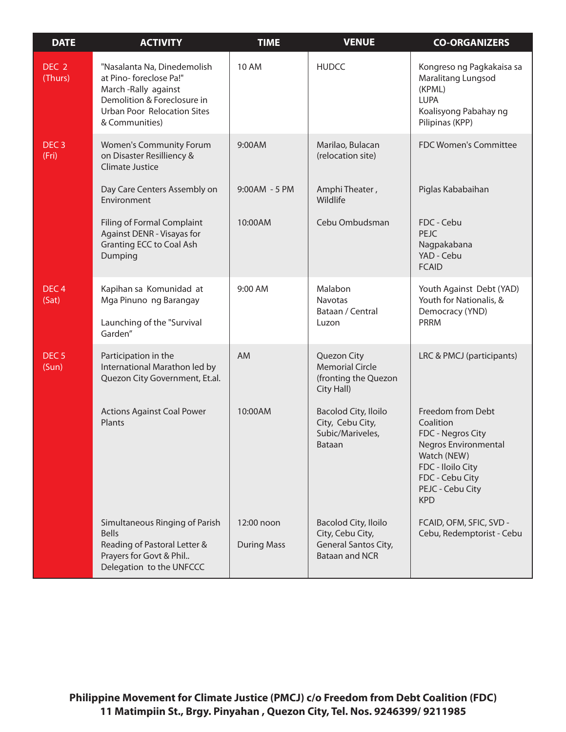| <b>DATE</b>                 | <b>ACTIVITY</b>                                                                                                                                                     | <b>TIME</b>                      | <b>VENUE</b>                                                                              | <b>CO-ORGANIZERS</b>                                                                                                                                                        |
|-----------------------------|---------------------------------------------------------------------------------------------------------------------------------------------------------------------|----------------------------------|-------------------------------------------------------------------------------------------|-----------------------------------------------------------------------------------------------------------------------------------------------------------------------------|
| DEC <sub>2</sub><br>(Thurs) | "Nasalanta Na, Dinedemolish<br>at Pino-foreclose Pa!"<br>March-Rally against<br>Demolition & Foreclosure in<br><b>Urban Poor Relocation Sites</b><br>& Communities) | <b>10 AM</b>                     | <b>HUDCC</b>                                                                              | Kongreso ng Pagkakaisa sa<br>Maralitang Lungsod<br>(KPML)<br><b>LUPA</b><br>Koalisyong Pabahay ng<br>Pilipinas (KPP)                                                        |
| DEC <sub>3</sub><br>(Fri)   | Women's Community Forum<br>on Disaster Resilliency &<br>Climate Justice                                                                                             | 9:00AM                           | Marilao, Bulacan<br>(relocation site)                                                     | FDC Women's Committee                                                                                                                                                       |
|                             | Day Care Centers Assembly on<br>Environment                                                                                                                         | 9:00AM - 5 PM                    | Amphi Theater,<br>Wildlife                                                                | Piglas Kababaihan                                                                                                                                                           |
|                             | <b>Filing of Formal Complaint</b><br>Against DENR - Visayas for<br><b>Granting ECC to Coal Ash</b><br>Dumping                                                       | 10:00AM                          | Cebu Ombudsman                                                                            | FDC - Cebu<br>PEJC<br>Nagpakabana<br>YAD - Cebu<br><b>FCAID</b>                                                                                                             |
| DEC <sub>4</sub><br>(Sat)   | Kapihan sa Komunidad at<br>Mga Pinuno ng Barangay<br>Launching of the "Survival<br>Garden"                                                                          | 9:00 AM                          | Malabon<br>Navotas<br>Bataan / Central<br>Luzon                                           | Youth Against Debt (YAD)<br>Youth for Nationalis, &<br>Democracy (YND)<br><b>PRRM</b>                                                                                       |
| DEC <sub>5</sub><br>(Sun)   | Participation in the<br>International Marathon led by<br>Quezon City Government, Et.al.                                                                             | AM                               | Quezon City<br><b>Memorial Circle</b><br>(fronting the Quezon<br>City Hall)               | LRC & PMCJ (participants)                                                                                                                                                   |
|                             | <b>Actions Against Coal Power</b><br>Plants                                                                                                                         | 10:00AM                          | <b>Bacolod City, Iloilo</b><br>City, Cebu City,<br>Subic/Mariveles,<br>Bataan             | Freedom from Debt<br>Coalition<br>FDC - Negros City<br><b>Negros Environmental</b><br>Watch (NEW)<br>FDC - Iloilo City<br>FDC - Cebu City<br>PEJC - Cebu City<br><b>KPD</b> |
|                             | Simultaneous Ringing of Parish<br><b>Bells</b><br>Reading of Pastoral Letter &<br>Prayers for Govt & Phil<br>Delegation to the UNFCCC                               | 12:00 noon<br><b>During Mass</b> | Bacolod City, Iloilo<br>City, Cebu City,<br>General Santos City,<br><b>Bataan and NCR</b> | FCAID, OFM, SFIC, SVD -<br>Cebu, Redemptorist - Cebu                                                                                                                        |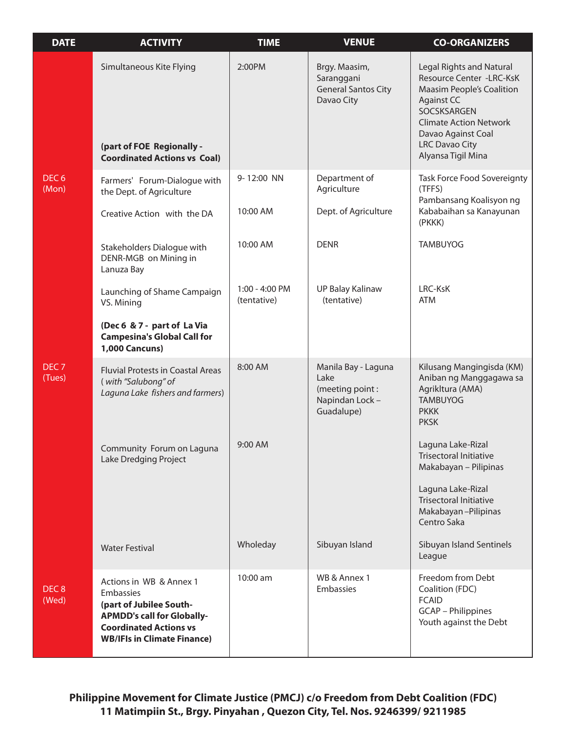| <b>DATE</b>                | <b>ACTIVITY</b>                                                                                                                                                             | <b>TIME</b>                   | <b>VENUE</b>                                                                    | <b>CO-ORGANIZERS</b>                                                                                                                                                                                                                      |
|----------------------------|-----------------------------------------------------------------------------------------------------------------------------------------------------------------------------|-------------------------------|---------------------------------------------------------------------------------|-------------------------------------------------------------------------------------------------------------------------------------------------------------------------------------------------------------------------------------------|
|                            | Simultaneous Kite Flying<br>(part of FOE Regionally -<br><b>Coordinated Actions vs Coal)</b>                                                                                | 2:00PM                        | Brgy. Maasim,<br>Saranggani<br><b>General Santos City</b><br>Davao City         | <b>Legal Rights and Natural</b><br>Resource Center -LRC-KsK<br><b>Maasim People's Coalition</b><br><b>Against CC</b><br>SOCSKSARGEN<br><b>Climate Action Network</b><br>Davao Against Coal<br><b>LRC Davao City</b><br>Alyansa Tigil Mina |
| DEC <sub>6</sub><br>(Mon)  | Farmers' Forum-Dialogue with<br>the Dept. of Agriculture                                                                                                                    | 9-12:00 NN                    | Department of<br>Agriculture                                                    | Task Force Food Sovereignty<br>(TFFS)<br>Pambansang Koalisyon ng                                                                                                                                                                          |
|                            | Creative Action with the DA                                                                                                                                                 | 10:00 AM                      | Dept. of Agriculture                                                            | Kababaihan sa Kanayunan<br>(PKKK)                                                                                                                                                                                                         |
|                            | Stakeholders Dialogue with<br>DENR-MGB on Mining in<br>Lanuza Bay                                                                                                           | 10:00 AM                      | <b>DENR</b>                                                                     | <b>TAMBUYOG</b>                                                                                                                                                                                                                           |
|                            | Launching of Shame Campaign<br>VS. Mining                                                                                                                                   | 1:00 - 4:00 PM<br>(tentative) | <b>UP Balay Kalinaw</b><br>(tentative)                                          | LRC-KsK<br><b>ATM</b>                                                                                                                                                                                                                     |
|                            | (Dec 6 & 7 - part of La Via<br><b>Campesina's Global Call for</b><br><b>1,000 Cancuns)</b>                                                                                  |                               |                                                                                 |                                                                                                                                                                                                                                           |
| DEC <sub>7</sub><br>(Tues) | <b>Fluvial Protests in Coastal Areas</b><br>(with "Salubong" of<br>Laguna Lake fishers and farmers)                                                                         | 8:00 AM                       | Manila Bay - Laguna<br>Lake<br>(meeting point:<br>Napindan Lock -<br>Guadalupe) | Kilusang Mangingisda (KM)<br>Aniban ng Manggagawa sa<br>Agrikltura (AMA)<br><b>TAMBUYOG</b><br><b>PKKK</b><br><b>PKSK</b>                                                                                                                 |
|                            | Community Forum on Laguna<br>Lake Dredging Project                                                                                                                          | 9:00 AM                       |                                                                                 | Laguna Lake-Rizal<br><b>Trisectoral Initiative</b><br>Makabayan - Pilipinas                                                                                                                                                               |
|                            |                                                                                                                                                                             |                               |                                                                                 | Laguna Lake-Rizal<br><b>Trisectoral Initiative</b><br>Makabayan-Pilipinas<br>Centro Saka                                                                                                                                                  |
|                            | <b>Water Festival</b>                                                                                                                                                       | Wholeday                      | Sibuyan Island                                                                  | Sibuyan Island Sentinels<br>League                                                                                                                                                                                                        |
| DEC <sub>8</sub><br>(Wed)  | Actions in WB & Annex 1<br>Embassies<br>(part of Jubilee South-<br><b>APMDD's call for Globally-</b><br><b>Coordinated Actions vs</b><br><b>WB/IFIs in Climate Finance)</b> | 10:00 am                      | WB & Annex 1<br>Embassies                                                       | Freedom from Debt<br>Coalition (FDC)<br><b>FCAID</b><br><b>GCAP</b> – Philippines<br>Youth against the Debt                                                                                                                               |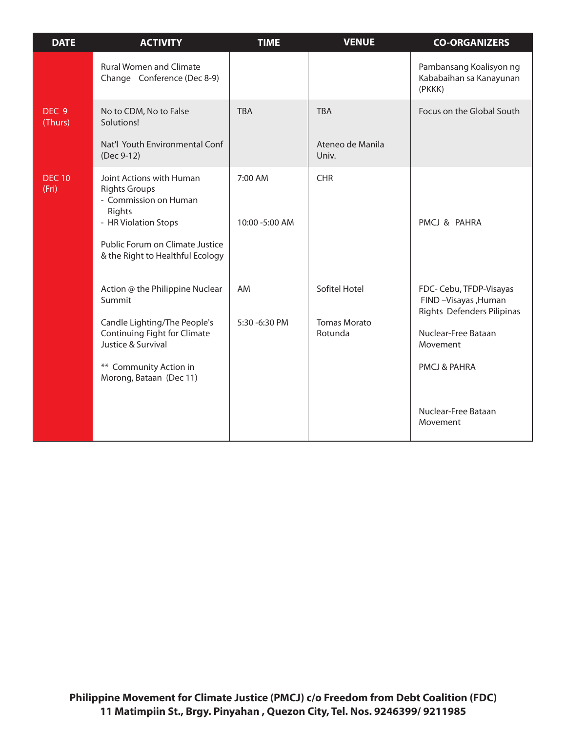| <b>DATE</b>                 | <b>ACTIVITY</b>                                                                                                                                                                             | <b>TIME</b>               | <b>VENUE</b>                                    | <b>CO-ORGANIZERS</b>                                                                                                                                                  |
|-----------------------------|---------------------------------------------------------------------------------------------------------------------------------------------------------------------------------------------|---------------------------|-------------------------------------------------|-----------------------------------------------------------------------------------------------------------------------------------------------------------------------|
|                             | <b>Rural Women and Climate</b><br>Change Conference (Dec 8-9)                                                                                                                               |                           |                                                 | Pambansang Koalisyon ng<br>Kababaihan sa Kanayunan<br>(PKKK)                                                                                                          |
| DEC <sub>9</sub><br>(Thurs) | No to CDM, No to False<br>Solutions!<br>Nat'l Youth Environmental Conf<br>(Dec 9-12)                                                                                                        | <b>TBA</b>                | <b>TBA</b><br>Ateneo de Manila<br>Univ.         | Focus on the Global South                                                                                                                                             |
| <b>DEC 10</b><br>(Fri)      | Joint Actions with Human<br><b>Rights Groups</b><br>- Commission on Human<br>Rights<br>- HR Violation Stops<br>Public Forum on Climate Justice<br>& the Right to Healthful Ecology          | 7:00 AM<br>10:00 -5:00 AM | <b>CHR</b>                                      | PMCJ & PAHRA                                                                                                                                                          |
|                             | Action @ the Philippine Nuclear<br>Summit<br>Candle Lighting/The People's<br><b>Continuing Fight for Climate</b><br>Justice & Survival<br>** Community Action in<br>Morong, Bataan (Dec 11) | AM<br>5:30 -6:30 PM       | Sofitel Hotel<br><b>Tomas Morato</b><br>Rotunda | FDC- Cebu, TFDP-Visayas<br>FIND - Visayas , Human<br>Rights Defenders Pilipinas<br>Nuclear-Free Bataan<br>Movement<br>PMCJ & PAHRA<br>Nuclear-Free Bataan<br>Movement |